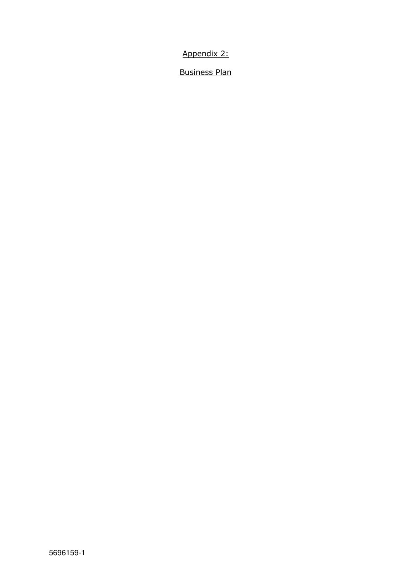Appendix 2:

Business Plan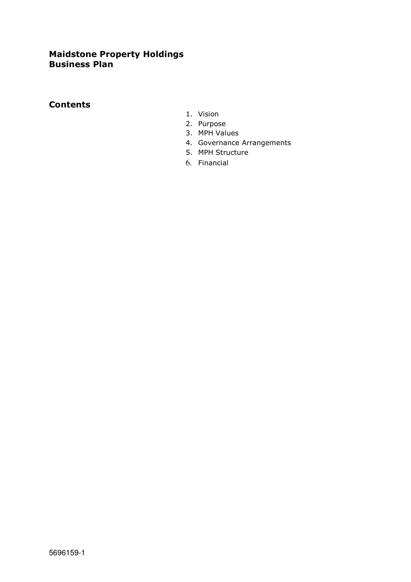# **Maidstone Property Holdings Business Plan**

### **Contents**

- 1. Vision
- 2. Purpose
- 3. MPH Values
- 4. Governance Arrangements
- 5. MPH Structure
- 6. Financial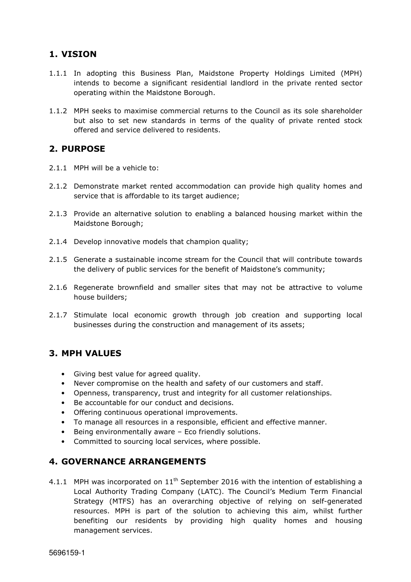### **1. VISION**

- 1.1.1 In adopting this Business Plan, Maidstone Property Holdings Limited (MPH) intends to become a significant residential landlord in the private rented sector operating within the Maidstone Borough.
- 1.1.2 MPH seeks to maximise commercial returns to the Council as its sole shareholder but also to set new standards in terms of the quality of private rented stock offered and service delivered to residents.

#### **2. PURPOSE**

- 2.1.1 MPH will be a vehicle to:
- 2.1.2 Demonstrate market rented accommodation can provide high quality homes and service that is affordable to its target audience;
- 2.1.3 Provide an alternative solution to enabling a balanced housing market within the Maidstone Borough;
- 2.1.4 Develop innovative models that champion quality;
- 2.1.5 Generate a sustainable income stream for the Council that will contribute towards the delivery of public services for the benefit of Maidstone's community;
- 2.1.6 Regenerate brownfield and smaller sites that may not be attractive to volume house builders;
- 2.1.7 Stimulate local economic growth through job creation and supporting local businesses during the construction and management of its assets;

# **3. MPH VALUES**

- Giving best value for agreed quality.
- Never compromise on the health and safety of our customers and staff.
- Openness, transparency, trust and integrity for all customer relationships.
- Be accountable for our conduct and decisions.
- Offering continuous operational improvements.
- To manage all resources in a responsible, efficient and effective manner.
- Being environmentally aware Eco friendly solutions.
- Committed to sourcing local services, where possible.

#### **4. GOVERNANCE ARRANGEMENTS**

4.1.1 MPH was incorporated on  $11<sup>th</sup>$  September 2016 with the intention of establishing a Local Authority Trading Company (LATC). The Council's Medium Term Financial Strategy (MTFS) has an overarching objective of relying on self-generated resources. MPH is part of the solution to achieving this aim, whilst further benefiting our residents by providing high quality homes and housing management services.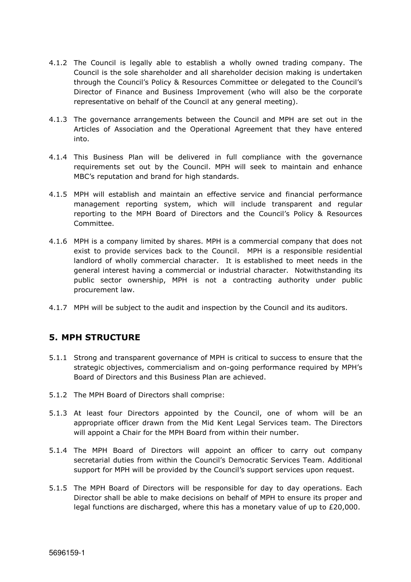- 4.1.2 The Council is legally able to establish a wholly owned trading company. The Council is the sole shareholder and all shareholder decision making is undertaken through the Council's Policy & Resources Committee or delegated to the Council's Director of Finance and Business Improvement (who will also be the corporate representative on behalf of the Council at any general meeting).
- 4.1.3 The governance arrangements between the Council and MPH are set out in the Articles of Association and the Operational Agreement that they have entered into.
- 4.1.4 This Business Plan will be delivered in full compliance with the governance requirements set out by the Council. MPH will seek to maintain and enhance MBC's reputation and brand for high standards.
- 4.1.5 MPH will establish and maintain an effective service and financial performance management reporting system, which will include transparent and regular reporting to the MPH Board of Directors and the Council's Policy & Resources Committee.
- 4.1.6 MPH is a company limited by shares. MPH is a commercial company that does not exist to provide services back to the Council. MPH is a responsible residential landlord of wholly commercial character. It is established to meet needs in the general interest having a commercial or industrial character. Notwithstanding its public sector ownership, MPH is not a contracting authority under public procurement law.
- 4.1.7 MPH will be subject to the audit and inspection by the Council and its auditors.

#### **5. MPH STRUCTURE**

- 5.1.1 Strong and transparent governance of MPH is critical to success to ensure that the strategic objectives, commercialism and on-going performance required by MPH's Board of Directors and this Business Plan are achieved.
- 5.1.2 The MPH Board of Directors shall comprise:
- 5.1.3 At least four Directors appointed by the Council, one of whom will be an appropriate officer drawn from the Mid Kent Legal Services team. The Directors will appoint a Chair for the MPH Board from within their number.
- 5.1.4 The MPH Board of Directors will appoint an officer to carry out company secretarial duties from within the Council's Democratic Services Team. Additional support for MPH will be provided by the Council's support services upon request.
- 5.1.5 The MPH Board of Directors will be responsible for day to day operations. Each Director shall be able to make decisions on behalf of MPH to ensure its proper and legal functions are discharged, where this has a monetary value of up to  $£20,000$ .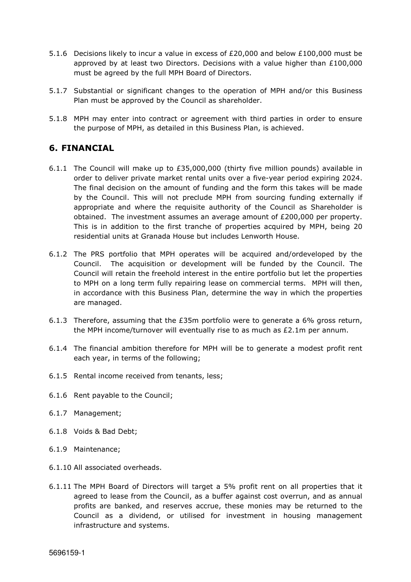- 5.1.6 Decisions likely to incur a value in excess of £20,000 and below £100,000 must be approved by at least two Directors. Decisions with a value higher than £100,000 must be agreed by the full MPH Board of Directors.
- 5.1.7 Substantial or significant changes to the operation of MPH and/or this Business Plan must be approved by the Council as shareholder.
- 5.1.8 MPH may enter into contract or agreement with third parties in order to ensure the purpose of MPH, as detailed in this Business Plan, is achieved.

# **6. FINANCIAL**

- 6.1.1 The Council will make up to £35,000,000 (thirty five million pounds) available in order to deliver private market rental units over a five-year period expiring 2024. The final decision on the amount of funding and the form this takes will be made by the Council. This will not preclude MPH from sourcing funding externally if appropriate and where the requisite authority of the Council as Shareholder is obtained. The investment assumes an average amount of £200,000 per property. This is in addition to the first tranche of properties acquired by MPH, being 20 residential units at Granada House but includes Lenworth House.
- 6.1.2 The PRS portfolio that MPH operates will be acquired and/ordeveloped by the Council. The acquisition or development will be funded by the Council. The Council will retain the freehold interest in the entire portfolio but let the properties to MPH on a long term fully repairing lease on commercial terms. MPH will then, in accordance with this Business Plan, determine the way in which the properties are managed.
- 6.1.3 Therefore, assuming that the £35m portfolio were to generate a 6% gross return, the MPH income/turnover will eventually rise to as much as  $£2.1m$  per annum.
- 6.1.4 The financial ambition therefore for MPH will be to generate a modest profit rent each year, in terms of the following;
- 6.1.5 Rental income received from tenants, less;
- 6.1.6 Rent payable to the Council;
- 6.1.7 Management;
- 6.1.8 Voids & Bad Debt;
- 6.1.9 Maintenance;
- 6.1.10 All associated overheads.
- 6.1.11 The MPH Board of Directors will target a 5% profit rent on all properties that it agreed to lease from the Council, as a buffer against cost overrun, and as annual profits are banked, and reserves accrue, these monies may be returned to the Council as a dividend, or utilised for investment in housing management infrastructure and systems.